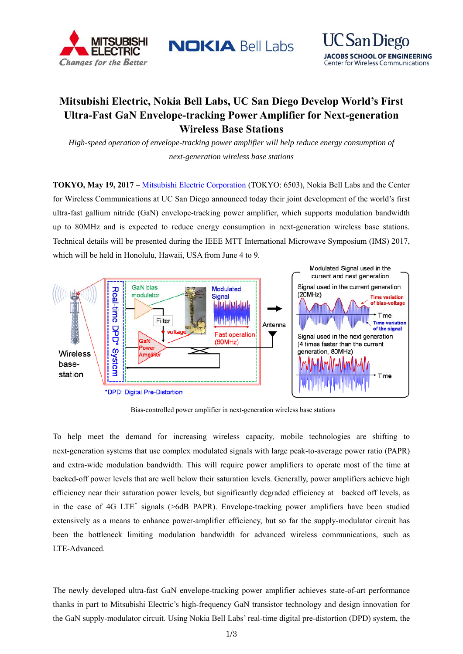

**NOKIA Bell Labs** 



# **Mitsubishi Electric, Nokia Bell Labs, UC San Diego Develop World's First Ultra-Fast GaN Envelope-tracking Power Amplifier for Next-generation Wireless Base Stations**

*High-speed operation of envelope-tracking power amplifier will help reduce energy consumption of next-generation wireless base stations* 

**TOKYO, May 19, 2017** – Mitsubishi Electric Corporation (TOKYO: 6503), Nokia Bell Labs and the Center for Wireless Communications at UC San Diego announced today their joint development of the world's first ultra-fast gallium nitride (GaN) envelope-tracking power amplifier, which supports modulation bandwidth up to 80MHz and is expected to reduce energy consumption in next-generation wireless base stations. Technical details will be presented during the IEEE MTT International Microwave Symposium (IMS) 2017, which will be held in Honolulu, Hawaii, USA from June 4 to 9.



Bias-controlled power amplifier in next-generation wireless base stations

To help meet the demand for increasing wireless capacity, mobile technologies are shifting to next-generation systems that use complex modulated signals with large peak-to-average power ratio (PAPR) and extra-wide modulation bandwidth. This will require power amplifiers to operate most of the time at backed-off power levels that are well below their saturation levels. Generally, power amplifiers achieve high efficiency near their saturation power levels, but significantly degraded efficiency at backed off levels, as in the case of 4G LTE<sup>\*</sup> signals (>6dB PAPR). Envelope-tracking power amplifiers have been studied extensively as a means to enhance power-amplifier efficiency, but so far the supply-modulator circuit has been the bottleneck limiting modulation bandwidth for advanced wireless communications, such as LTE-Advanced.

The newly developed ultra-fast GaN envelope-tracking power amplifier achieves state-of-art performance thanks in part to Mitsubishi Electric's high-frequency GaN transistor technology and design innovation for the GaN supply-modulator circuit. Using Nokia Bell Labs' real-time digital pre-distortion (DPD) system, the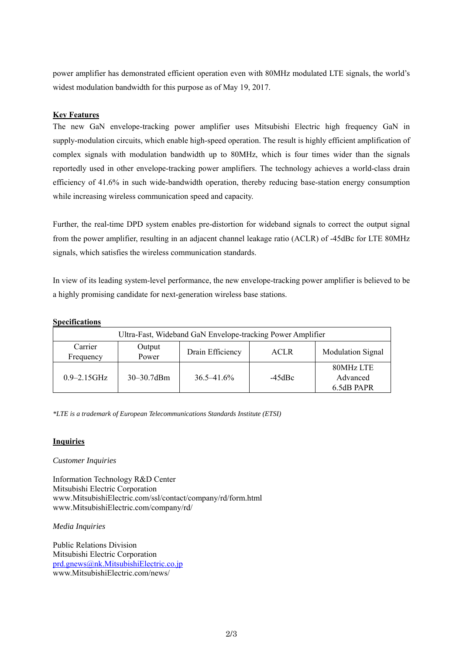power amplifier has demonstrated efficient operation even with 80MHz modulated LTE signals, the world's widest modulation bandwidth for this purpose as of May 19, 2017.

## **Key Features**

The new GaN envelope-tracking power amplifier uses Mitsubishi Electric high frequency GaN in supply-modulation circuits, which enable high-speed operation. The result is highly efficient amplification of complex signals with modulation bandwidth up to 80MHz, which is four times wider than the signals reportedly used in other envelope-tracking power amplifiers. The technology achieves a world-class drain efficiency of 41.6% in such wide-bandwidth operation, thereby reducing base-station energy consumption while increasing wireless communication speed and capacity.

Further, the real-time DPD system enables pre-distortion for wideband signals to correct the output signal from the power amplifier, resulting in an adjacent channel leakage ratio (ACLR) of -45dBc for LTE 80MHz signals, which satisfies the wireless communication standards.

In view of its leading system-level performance, the new envelope-tracking power amplifier is believed to be a highly promising candidate for next-generation wireless base stations.

#### **Specifications**

| Ultra-Fast, Wideband GaN Envelope-tracking Power Amplifier |                 |                  |                   |                                     |
|------------------------------------------------------------|-----------------|------------------|-------------------|-------------------------------------|
| Carrier<br>Frequency                                       | Output<br>Power | Drain Efficiency | <b>ACLR</b>       | <b>Modulation Signal</b>            |
| $0.9 - 2.15$ GHz                                           | $30 - 30.7$ dBm | $36.5 - 41.6\%$  | $-45$ d $\rm{Be}$ | 80MHz LTE<br>Advanced<br>6.5dB PAPR |

*\*LTE is a trademark of European Telecommunications Standards Institute (ETSI)* 

### **Inquiries**

### *Customer Inquiries*

Information Technology R&D Center Mitsubishi Electric Corporation www.MitsubishiElectric.com/ssl/contact/company/rd/form.html www.MitsubishiElectric.com/company/rd/

*Media Inquiries*

Public Relations Division Mitsubishi Electric Corporation prd.gnews@nk.MitsubishiElectric.co.jp www.MitsubishiElectric.com/news/